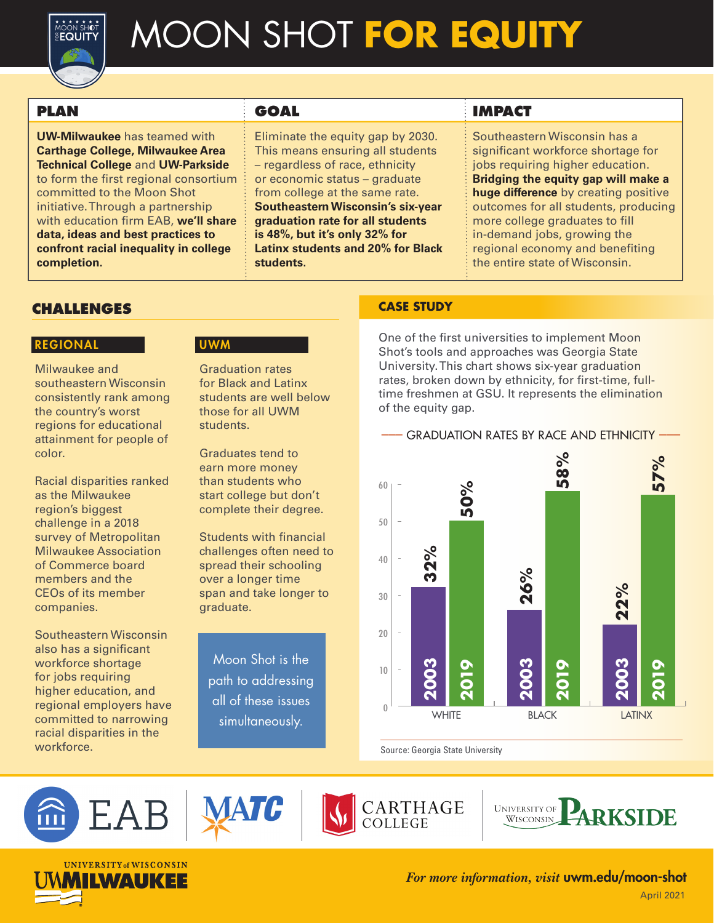

# MOON SHOT **FOR EQUITY**

## **PLAN**

**UW-Milwaukee** has teamed with **Carthage College, Milwaukee Area Technical College** and **UW-Parkside** to form the first regional consortium committed to the Moon Shot initiative. Through a partnership with education firm EAB, **we'll share data, ideas and best practices to confront racial inequality in college completion.**

#### **GOAL**

Eliminate the equity gap by 2030. This means ensuring all students – regardless of race, ethnicity or economic status – graduate from college at the same rate. **Southeastern Wisconsin's six-year graduation rate for all students is 48%, but it's only 32% for Latinx students and 20% for Black students.**

## **IMPACT**

Southeastern Wisconsin has a significant workforce shortage for jobs requiring higher education. **Bridging the equity gap will make a huge difference** by creating positive outcomes for all students, producing more college graduates to fill in-demand jobs, growing the regional economy and benefiting the entire state of Wisconsin.

## **CHALLENGES**

#### REGIONAL

Milwaukee and southeastern Wisconsin consistently rank among the country's worst regions for educational attainment for people of color.

Racial disparities ranked as the Milwaukee region's biggest challenge in a 2018 survey of Metropolitan Milwaukee Association of Commerce board members and the CEOs of its member companies.

Southeastern Wisconsin also has a significant workforce shortage for jobs requiring higher education, and regional employers have committed to narrowing racial disparities in the workforce.

## UWM

Graduation rates for Black and Latinx students are well below those for all UWM students.

Graduates tend to earn more money than students who start college but don't complete their degree.

Students with financial challenges often need to spread their schooling over a longer time span and take longer to graduate.

Moon Shot is the path to addressing all of these issues simultaneously.

## **CASE STUDY**

One of the first universities to implement Moon Shot's tools and approaches was Georgia State University. This chart shows six-year graduation rates, broken down by ethnicity, for first-time, fulltime freshmen at GSU. It represents the elimination of the equity gap. **GRADUATION PERCENTAGE** 

––– GRADUATION RATES BY RACE AND ETHNICITY –––



Source: Georgia State University







CARTHAGE<br>COLLEGE